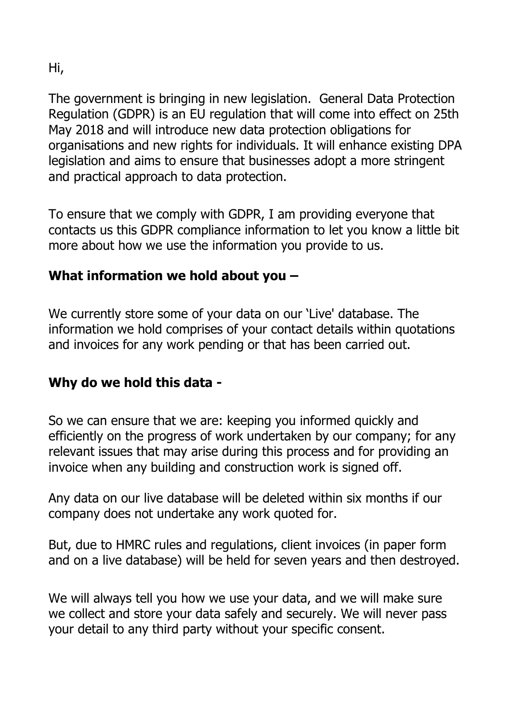Hi,

The government is bringing in new legislation. General Data Protection Regulation (GDPR) is an EU regulation that will come into effect on 25th May 2018 and will introduce new data protection obligations for organisations and new rights for individuals. It will enhance existing DPA legislation and aims to ensure that businesses adopt a more stringent and practical approach to data protection.

To ensure that we comply with GDPR, I am providing everyone that contacts us this GDPR compliance information to let you know a little bit more about how we use the information you provide to us.

## **What information we hold about you –**

We currently store some of your data on our 'Live' database. The information we hold comprises of your contact details within quotations and invoices for any work pending or that has been carried out.

## **Why do we hold this data -**

So we can ensure that we are: keeping you informed quickly and efficiently on the progress of work undertaken by our company; for any relevant issues that may arise during this process and for providing an invoice when any building and construction work is signed off.

Any data on our live database will be deleted within six months if our company does not undertake any work quoted for.

But, due to HMRC rules and regulations, client invoices (in paper form and on a live database) will be held for seven years and then destroyed.

We will always tell you how we use your data, and we will make sure we collect and store your data safely and securely. We will never pass your detail to any third party without your specific consent.